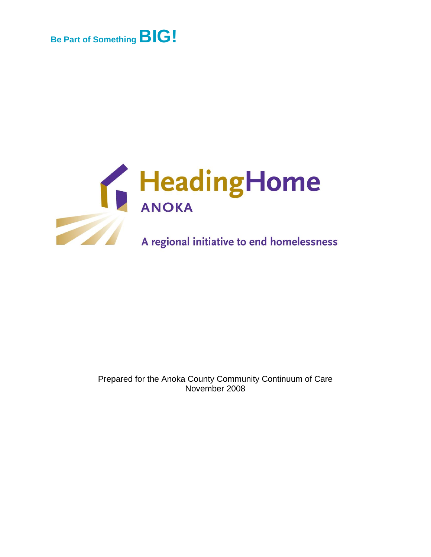



#### Prepared for the Anoka County Community Continuum of Care November 2008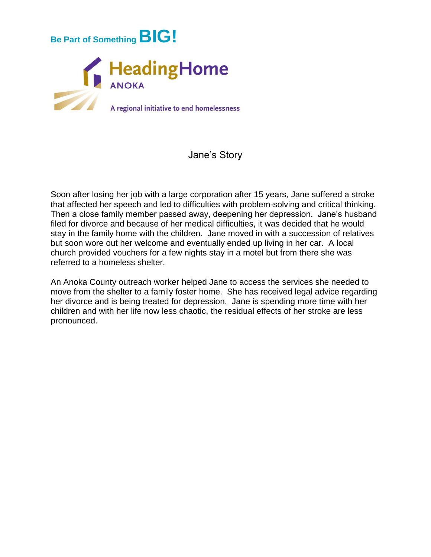

#### Jane's Story

Soon after losing her job with a large corporation after 15 years, Jane suffered a stroke that affected her speech and led to difficulties with problem-solving and critical thinking. Then a close family member passed away, deepening her depression. Jane's husband filed for divorce and because of her medical difficulties, it was decided that he would stay in the family home with the children. Jane moved in with a succession of relatives but soon wore out her welcome and eventually ended up living in her car. A local church provided vouchers for a few nights stay in a motel but from there she was referred to a homeless shelter.

An Anoka County outreach worker helped Jane to access the services she needed to move from the shelter to a family foster home. She has received legal advice regarding her divorce and is being treated for depression. Jane is spending more time with her children and with her life now less chaotic, the residual effects of her stroke are less pronounced.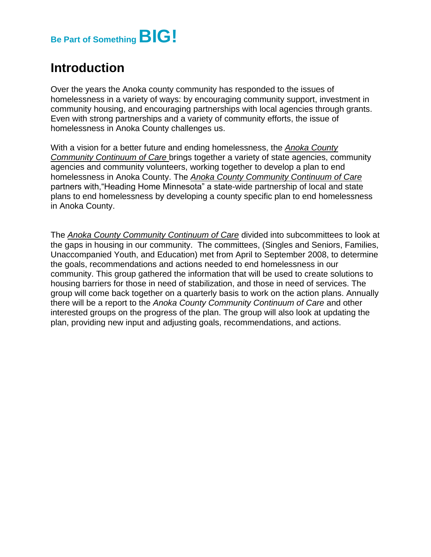

## **Introduction**

Over the years the Anoka county community has responded to the issues of homelessness in a variety of ways: by encouraging community support, investment in community housing, and encouraging partnerships with local agencies through grants. Even with strong partnerships and a variety of community efforts, the issue of homelessness in Anoka County challenges us.

With a vision for a better future and ending homelessness, the *Anoka County Community Continuum of Care* brings together a variety of state agencies, community agencies and community volunteers, working together to develop a plan to end homelessness in Anoka County. The *Anoka County Community Continuum of Care* partners with,"Heading Home Minnesota" a state-wide partnership of local and state plans to end homelessness by developing a county specific plan to end homelessness in Anoka County.

The *Anoka County Community Continuum of Care* divided into subcommittees to look at the gaps in housing in our community. The committees, (Singles and Seniors, Families, Unaccompanied Youth, and Education) met from April to September 2008, to determine the goals, recommendations and actions needed to end homelessness in our community. This group gathered the information that will be used to create solutions to housing barriers for those in need of stabilization, and those in need of services. The group will come back together on a quarterly basis to work on the action plans. Annually there will be a report to the *Anoka County Community Continuum of Care* and other interested groups on the progress of the plan. The group will also look at updating the plan, providing new input and adjusting goals, recommendations, and actions.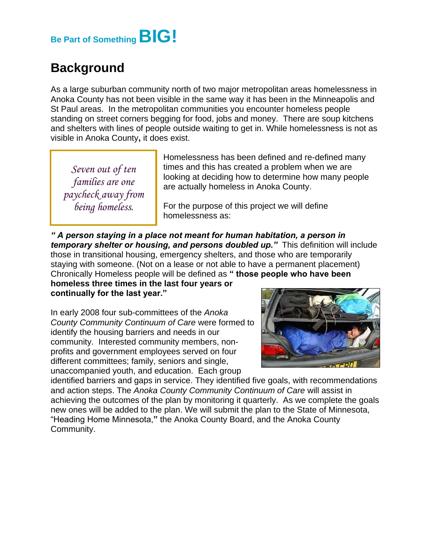## **Be Part of SomethingBIG!**

## **Background**

As a large suburban community north of two major metropolitan areas homelessness in Anoka County has not been visible in the same way it has been in the Minneapolis and St Paul areas. In the metropolitan communities you encounter homeless people standing on street corners begging for food, jobs and money. There are soup kitchens and shelters with lines of people outside waiting to get in. While homelessness is not as visible in Anoka County**,** it does exist.

*Seven out of ten families are one paycheck away from being homeless.*

Homelessness has been defined and re-defined many times and this has created a problem when we are looking at deciding how to determine how many people are actually homeless in Anoka County.

For the purpose of this project we will define homelessness as:

*" A person staying in a place not meant for human habitation, a person in temporary shelter or housing, and persons doubled up."* This definition will include those in transitional housing, emergency shelters, and those who are temporarily staying with someone. (Not on a lease or not able to have a permanent placement) Chronically Homeless people will be defined as **" those people who have been** 

**homeless three times in the last four years or continually for the last year."**

In early 2008 four sub-committees of the *Anoka County Community Continuum of Care* were formed to identify the housing barriers and needs in our community. Interested community members, nonprofits and government employees served on four different committees; family, seniors and single, unaccompanied youth, and education. Each group



identified barriers and gaps in service. They identified five goals, with recommendations and action steps. The *Anoka County Community Continuum of Care* will assist in achieving the outcomes of the plan by monitoring it quarterly. As we complete the goals new ones will be added to the plan. We will submit the plan to the State of Minnesota, "Heading Home Minnesota,**"** the Anoka County Board, and the Anoka County Community.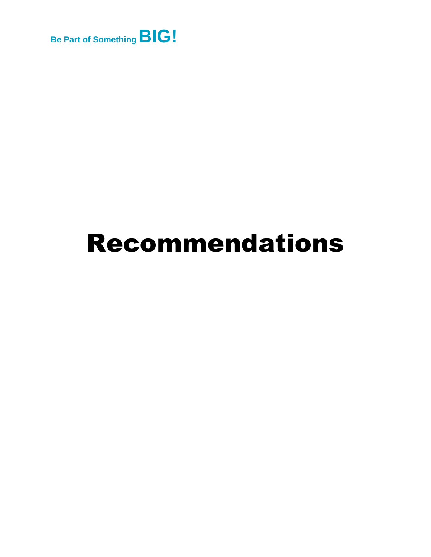

# Recommendations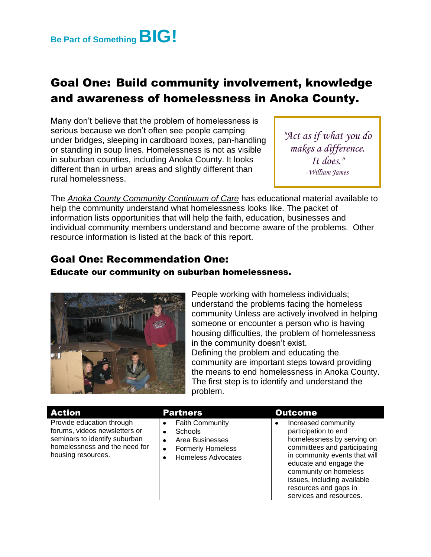

## Goal One: Build community involvement, knowledge and awareness of homelessness in Anoka County.

Many don't believe that the problem of homelessness is serious because we don't often see people camping under bridges, sleeping in cardboard boxes, pan-handling or standing in soup lines. Homelessness is not as visible in suburban counties, including Anoka County. It looks different than in urban areas and slightly different than rural homelessness.

*"Act as if what you do makes a difference. It does." -William James*

The *Anoka County Community Continuum of Care* has educational material available to help the community understand what homelessness looks like. The packet of information lists opportunities that will help the faith, education, businesses and individual community members understand and become aware of the problems. Other resource information is listed at the back of this report.

#### Goal One: Recommendation One:

#### Educate our community on suburban homelessness.



People working with homeless individuals; understand the problems facing the homeless community Unless are actively involved in helping someone or encounter a person who is having housing difficulties, the problem of homelessness in the community doesn't exist. Defining the problem and educating the community are important steps toward providing the means to end homelessness in Anoka County. The first step is to identify and understand the problem.

| Action                                                                                                                                             | <b>Partners</b>                                                                                                                                          | <b>Outcome</b>                                                                                                                                                                                                                                                                   |
|----------------------------------------------------------------------------------------------------------------------------------------------------|----------------------------------------------------------------------------------------------------------------------------------------------------------|----------------------------------------------------------------------------------------------------------------------------------------------------------------------------------------------------------------------------------------------------------------------------------|
| Provide education through<br>forums, videos newsletters or<br>seminars to identify suburban<br>homelessness and the need for<br>housing resources. | <b>Faith Community</b><br>٠<br><b>Schools</b><br>٠<br>Area Businesses<br>$\bullet$<br><b>Formerly Homeless</b><br>$\bullet$<br><b>Homeless Advocates</b> | Increased community<br>participation to end<br>homelessness by serving on<br>committees and participating<br>in community events that will<br>educate and engage the<br>community on homeless<br>issues, including available<br>resources and gaps in<br>services and resources. |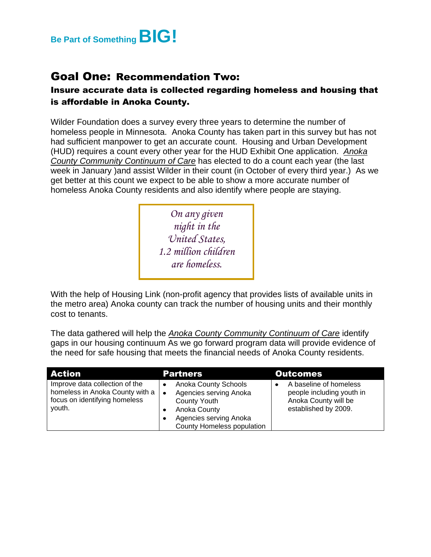

### Goal One: Recommendation Two:

#### Insure accurate data is collected regarding homeless and housing that is affordable in Anoka County.

Wilder Foundation does a survey every three years to determine the number of homeless people in Minnesota. Anoka County has taken part in this survey but has not had sufficient manpower to get an accurate count. Housing and Urban Development (HUD) requires a count every other year for the HUD Exhibit One application. *Anoka County Community Continuum of Care* has elected to do a count each year (the last week in January )and assist Wilder in their count (in October of every third year.) As we get better at this count we expect to be able to show a more accurate number of homeless Anoka County residents and also identify where people are staying.

> *On any given night in the United States, 1.2 million children are homeless.*

With the help of Housing Link (non-profit agency that provides lists of available units in the metro area) Anoka county can track the number of housing units and their monthly cost to tenants.

The data gathered will help the *Anoka County Community Continuum of Care* identify gaps in our housing continuum As we go forward program data will provide evidence of the need for safe housing that meets the financial needs of Anoka County residents.

| <b>Action</b>                                                                                                | <b>Partners</b>                                                                                                                                            | <b>Outcomes</b>                                                                                     |
|--------------------------------------------------------------------------------------------------------------|------------------------------------------------------------------------------------------------------------------------------------------------------------|-----------------------------------------------------------------------------------------------------|
| Improve data collection of the<br>homeless in Anoka County with a<br>focus on identifying homeless<br>youth. | <b>Anoka County Schools</b><br>Agencies serving Anoka<br>$\bullet$<br>County Youth<br>Anoka County<br>Agencies serving Anoka<br>County Homeless population | A baseline of homeless<br>people including youth in<br>Anoka County will be<br>established by 2009. |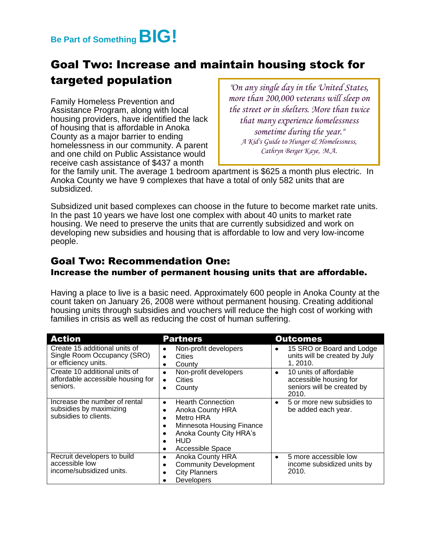

## Goal Two: Increase and maintain housing stock for targeted population

Family Homeless Prevention and Assistance Program, along with local housing providers, have identified the lack of housing that is affordable in Anoka County as a major barrier to ending homelessness in our community. A parent and one child on Public Assistance would receive cash assistance of \$437 a month

*"On any single day in the United States, more than 200,000 veterans will sleep on the street or in shelters. More than twice that many experience homelessness sometime during the year." A Kid's Guide to Hunger & Homelessness, Cathryn Berger Kaye, M.A.*

for the family unit. The average 1 bedroom apartment is \$625 a month plus electric. In Anoka County we have 9 complexes that have a total of only 582 units that are subsidized.

Subsidized unit based complexes can choose in the future to become market rate units. In the past 10 years we have lost one complex with about 40 units to market rate housing. We need to preserve the units that are currently subsidized and work on developing new subsidies and housing that is affordable to low and very low-income people.

#### Goal Two: Recommendation One: Increase the number of permanent housing units that are affordable.

Having a place to live is a basic need. Approximately 600 people in Anoka County at the count taken on January 26, 2008 were without permanent housing. Creating additional housing units through subsidies and vouchers will reduce the high cost of working with families in crisis as well as reducing the cost of human suffering.

| <b>Action</b>                                                                        | <b>Partners</b>                                                                                                                                                                 | <b>Outcomes</b>                                                                              |
|--------------------------------------------------------------------------------------|---------------------------------------------------------------------------------------------------------------------------------------------------------------------------------|----------------------------------------------------------------------------------------------|
| Create 15 additional units of<br>Single Room Occupancy (SRO)<br>or efficiency units. | Non-profit developers<br>٠<br><b>Cities</b><br>$\bullet$<br>County<br>٠                                                                                                         | 15 SRO or Board and Lodge<br>٠<br>units will be created by July<br>1, 2010.                  |
| Create 10 additional units of<br>affordable accessible housing for<br>seniors.       | Non-profit developers<br>$\bullet$<br>Cities<br>$\bullet$<br>County                                                                                                             | 10 units of affordable<br>٠<br>accessible housing for<br>seniors will be created by<br>2010. |
| Increase the number of rental<br>subsidies by maximizing<br>subsidies to clients.    | <b>Hearth Connection</b><br>٠<br>Anoka County HRA<br>٠<br>Metro HRA<br>٠<br>Minnesota Housing Finance<br>٠<br>Anoka County City HRA's<br>٠<br>HUD<br>٠<br>Accessible Space<br>٠ | 5 or more new subsidies to<br>٠<br>be added each year.                                       |
| Recruit developers to build<br>accessible low<br>income/subsidized units.            | <b>Anoka County HRA</b><br>٠<br><b>Community Development</b><br>٠<br><b>City Planners</b><br>Developers                                                                         | 5 more accessible low<br>٠<br>income subsidized units by<br>2010.                            |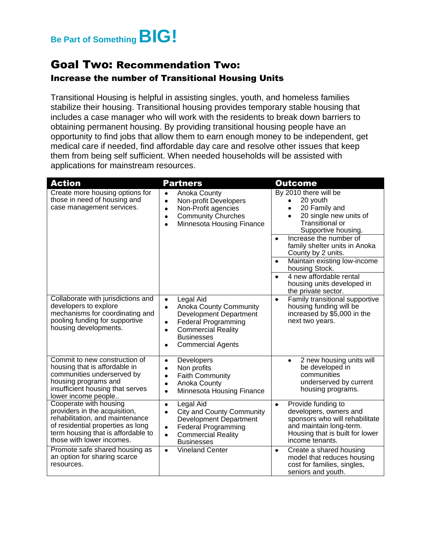

#### Goal Two: Recommendation Two: Increase the number of Transitional Housing Units

Transitional Housing is helpful in assisting singles, youth, and homeless families stabilize their housing. Transitional housing provides temporary stable housing that includes a case manager who will work with the residents to break down barriers to obtaining permanent housing. By providing transitional housing people have an opportunity to find jobs that allow them to earn enough money to be independent, get medical care if needed, find affordable day care and resolve other issues that keep them from being self sufficient. When needed households will be assisted with applications for mainstream resources.

| <b>Action</b>                                                                                                                                                                                      | <b>Partners</b>                                                                                                                                                                                                                                   | <b>Outcome</b>                                                                                                                                                               |
|----------------------------------------------------------------------------------------------------------------------------------------------------------------------------------------------------|---------------------------------------------------------------------------------------------------------------------------------------------------------------------------------------------------------------------------------------------------|------------------------------------------------------------------------------------------------------------------------------------------------------------------------------|
| Create more housing options for<br>those in need of housing and<br>case management services.                                                                                                       | Anoka County<br>$\bullet$<br>Non-profit Developers<br>$\bullet$<br>Non-Profit agencies<br>$\bullet$<br><b>Community Churches</b><br>$\bullet$<br>Minnesota Housing Finance<br>$\bullet$                                                           | By 2010 there will be<br>20 youth<br>20 Family and<br>$\bullet$<br>20 single new units of<br><b>Transitional or</b><br>Supportive housing.                                   |
|                                                                                                                                                                                                    |                                                                                                                                                                                                                                                   | Increase the number of<br>$\bullet$<br>family shelter units in Anoka<br>County by 2 units.                                                                                   |
|                                                                                                                                                                                                    |                                                                                                                                                                                                                                                   | Maintain existing low-income<br>$\bullet$<br>housing Stock.                                                                                                                  |
|                                                                                                                                                                                                    |                                                                                                                                                                                                                                                   | 4 new affordable rental<br>$\bullet$<br>housing units developed in<br>the private sector.                                                                                    |
| Collaborate with jurisdictions and<br>developers to explore<br>mechanisms for coordinating and<br>pooling funding for supportive<br>housing developments.                                          | Legal Aid<br>$\bullet$<br><b>Anoka County Community</b><br>$\bullet$<br>Development Department<br><b>Federal Programming</b><br>$\bullet$<br><b>Commercial Reality</b><br>$\bullet$<br><b>Businesses</b><br><b>Commercial Agents</b><br>$\bullet$ | Family transitional supportive<br>$\bullet$<br>housing funding will be<br>increased by \$5,000 in the<br>next two years.                                                     |
| Commit to new construction of<br>housing that is affordable in<br>communities underserved by<br>housing programs and<br>insufficient housing that serves<br>lower income people                    | Developers<br>$\bullet$<br>Non profits<br>$\bullet$<br><b>Faith Community</b><br>$\bullet$<br>Anoka County<br>$\bullet$<br>Minnesota Housing Finance<br>$\bullet$                                                                                 | 2 new housing units will<br>$\bullet$<br>be developed in<br>communities<br>underserved by current<br>housing programs.                                                       |
| Cooperate with housing<br>providers in the acquisition,<br>rehabilitation, and maintenance<br>of residential properties as long<br>term housing that is affordable to<br>those with lower incomes. | Legal Aid<br>$\bullet$<br><b>City and County Community</b><br>$\bullet$<br>Development Department<br>Federal Programming<br>$\bullet$<br><b>Commercial Reality</b><br>$\bullet$<br><b>Businesses</b>                                              | Provide funding to<br>$\bullet$<br>developers, owners and<br>sponsors who will rehabilitate<br>and maintain long-term.<br>Housing that is built for lower<br>income tenants. |
| Promote safe shared housing as<br>an option for sharing scarce<br>resources.                                                                                                                       | <b>Vineland Center</b><br>$\bullet$                                                                                                                                                                                                               | Create a shared housing<br>$\bullet$<br>model that reduces housing<br>cost for families, singles,<br>seniors and youth.                                                      |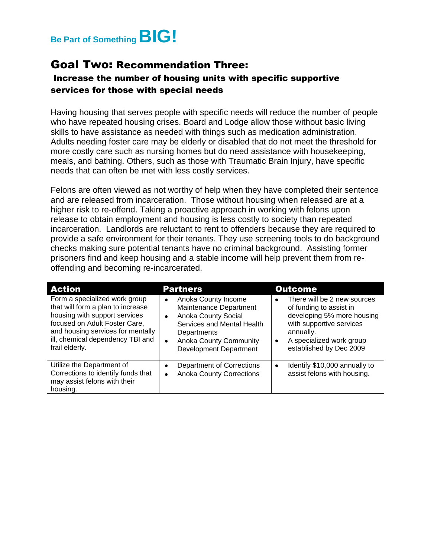## **Be Part of SomethingBIG!**

#### Goal Two: Recommendation Three:

#### Increase the number of housing units with specific supportive services for those with special needs

Having housing that serves people with specific needs will reduce the number of people who have repeated housing crises. Board and Lodge allow those without basic living skills to have assistance as needed with things such as medication administration. Adults needing foster care may be elderly or disabled that do not meet the threshold for more costly care such as nursing homes but do need assistance with housekeeping, meals, and bathing. Others, such as those with Traumatic Brain Injury, have specific needs that can often be met with less costly services.

Felons are often viewed as not worthy of help when they have completed their sentence and are released from incarceration. Those without housing when released are at a higher risk to re-offend. Taking a proactive approach in working with felons upon release to obtain employment and housing is less costly to society than repeated incarceration. Landlords are reluctant to rent to offenders because they are required to provide a safe environment for their tenants. They use screening tools to do background checks making sure potential tenants have no criminal background. Assisting former prisoners find and keep housing and a stable income will help prevent them from reoffending and becoming re-incarcerated.

| <b>Action</b>                                                                                                                                                                                                                   | <b>Partners</b>                                                                                                                                                                                                                   | <b>Outcome</b>                                                                                                                                                                                                 |
|---------------------------------------------------------------------------------------------------------------------------------------------------------------------------------------------------------------------------------|-----------------------------------------------------------------------------------------------------------------------------------------------------------------------------------------------------------------------------------|----------------------------------------------------------------------------------------------------------------------------------------------------------------------------------------------------------------|
| Form a specialized work group<br>that will form a plan to increase<br>housing with support services<br>focused on Adult Foster Care,<br>and housing services for mentally<br>ill, chemical dependency TBI and<br>frail elderly. | Anoka County Income<br>$\bullet$<br>Maintenance Department<br><b>Anoka County Social</b><br>$\bullet$<br>Services and Mental Health<br>Departments<br><b>Anoka County Community</b><br>$\bullet$<br><b>Development Department</b> | There will be 2 new sources<br>$\bullet$<br>of funding to assist in<br>developing 5% more housing<br>with supportive services<br>annually.<br>A specialized work group<br>$\bullet$<br>established by Dec 2009 |
| Utilize the Department of<br>Corrections to identify funds that<br>may assist felons with their<br>housing.                                                                                                                     | <b>Department of Corrections</b><br>$\bullet$<br><b>Anoka County Corrections</b><br>$\bullet$                                                                                                                                     | Identify \$10,000 annually to<br>$\bullet$<br>assist felons with housing.                                                                                                                                      |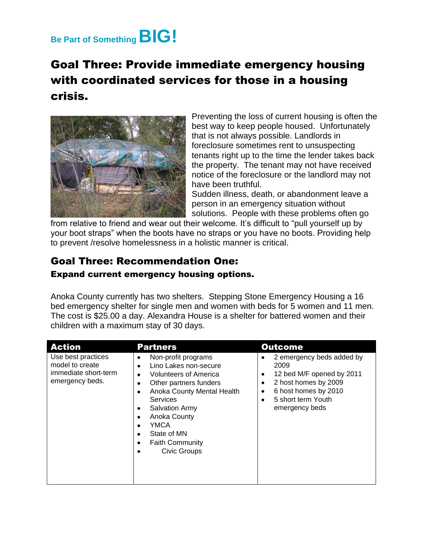## **Be Part of SomethingBIG!**

## Goal Three: Provide immediate emergency housing with coordinated services for those in a housing crisis.



Preventing the loss of current housing is often the best way to keep people housed. Unfortunately that is not always possible. Landlords in foreclosure sometimes rent to unsuspecting tenants right up to the time the lender takes back the property. The tenant may not have received notice of the foreclosure or the landlord may not have been truthful.

Sudden illness, death, or abandonment leave a person in an emergency situation without solutions. People with these problems often go

from relative to friend and wear out their welcome. It's difficult to "pull yourself up by your boot straps" when the boots have no straps or you have no boots. Providing help to prevent /resolve homelessness in a holistic manner is critical.

## Goal Three: Recommendation One:

#### Expand current emergency housing options.

Anoka County currently has two shelters. Stepping Stone Emergency Housing a 16 bed emergency shelter for single men and women with beds for 5 women and 11 men. The cost is \$25.00 a day. Alexandra House is a shelter for battered women and their children with a maximum stay of 30 days.

| <b>Action</b>                                                                    | <b>Partners</b>                                                                                                                                                                                                                                                        | <b>Outcome</b>                                                                                                                                                             |
|----------------------------------------------------------------------------------|------------------------------------------------------------------------------------------------------------------------------------------------------------------------------------------------------------------------------------------------------------------------|----------------------------------------------------------------------------------------------------------------------------------------------------------------------------|
| Use best practices<br>model to create<br>immediate short-term<br>emergency beds. | Non-profit programs<br>٠<br>Lino Lakes non-secure<br><b>Volunteers of America</b><br>Other partners funders<br>Anoka County Mental Health<br><b>Services</b><br><b>Salvation Army</b><br>Anoka County<br>YMCA<br>State of MN<br><b>Faith Community</b><br>Civic Groups | 2 emergency beds added by<br>٠<br>2009<br>12 bed M/F opened by 2011<br>٠<br>2 host homes by 2009<br>٠<br>6 host homes by 2010<br>٠<br>5 short term Youth<br>emergency beds |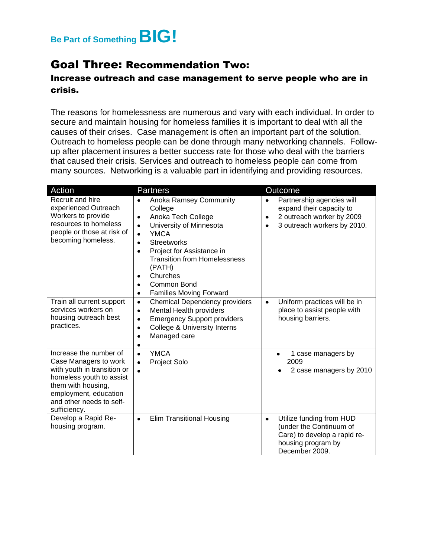

#### Goal Three: Recommendation Two:

#### Increase outreach and case management to serve people who are in crisis.

The reasons for homelessness are numerous and vary with each individual. In order to secure and maintain housing for homeless families it is important to deal with all the causes of their crises. Case management is often an important part of the solution. Outreach to homeless people can be done through many networking channels. Followup after placement insures a better success rate for those who deal with the barriers that caused their crisis. Services and outreach to homeless people can come from many sources. Networking is a valuable part in identifying and providing resources.

| Action                                                                                                                                                                                                | <b>Partners</b>                                                                                                                                                                                                                                                                                                                                   | <b>Outcome</b>                                                                                                                                           |
|-------------------------------------------------------------------------------------------------------------------------------------------------------------------------------------------------------|---------------------------------------------------------------------------------------------------------------------------------------------------------------------------------------------------------------------------------------------------------------------------------------------------------------------------------------------------|----------------------------------------------------------------------------------------------------------------------------------------------------------|
| Recruit and hire<br>experienced Outreach<br>Workers to provide<br>resources to homeless<br>people or those at risk of<br>becoming homeless.                                                           | <b>Anoka Ramsey Community</b><br>College<br>Anoka Tech College<br>٠<br>University of Minnesota<br>$\bullet$<br><b>YMCA</b><br>$\bullet$<br><b>Streetworks</b><br>٠<br>Project for Assistance in<br>$\bullet$<br><b>Transition from Homelessness</b><br>(PATH)<br>Churches<br>$\bullet$<br>Common Bond<br>٠<br><b>Families Moving Forward</b><br>٠ | Partnership agencies will<br>$\bullet$<br>expand their capacity to<br>2 outreach worker by 2009<br>$\bullet$<br>3 outreach workers by 2010.<br>$\bullet$ |
| Train all current support<br>services workers on<br>housing outreach best<br>practices.                                                                                                               | <b>Chemical Dependency providers</b><br>$\bullet$<br>Mental Health providers<br>$\bullet$<br><b>Emergency Support providers</b><br>٠<br><b>College &amp; University Interns</b><br>$\bullet$<br>Managed care                                                                                                                                      | Uniform practices will be in<br>$\bullet$<br>place to assist people with<br>housing barriers.                                                            |
| Increase the number of<br>Case Managers to work<br>with youth in transition or<br>homeless youth to assist<br>them with housing,<br>employment, education<br>and other needs to self-<br>sufficiency. | <b>YMCA</b><br>$\bullet$<br>Project Solo                                                                                                                                                                                                                                                                                                          | 1 case managers by<br>$\bullet$<br>2009<br>2 case managers by 2010                                                                                       |
| Develop a Rapid Re-<br>housing program.                                                                                                                                                               | <b>Elim Transitional Housing</b><br>$\bullet$                                                                                                                                                                                                                                                                                                     | Utilize funding from HUD<br>$\bullet$<br>(under the Continuum of<br>Care) to develop a rapid re-<br>housing program by<br>December 2009.                 |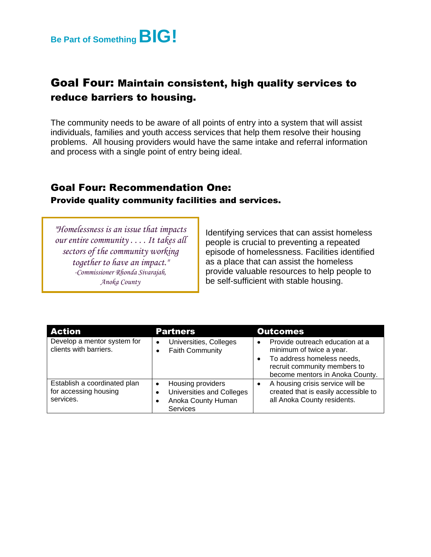

### Goal Four: Maintain consistent, high quality services to reduce barriers to housing.

The community needs to be aware of all points of entry into a system that will assist individuals, families and youth access services that help them resolve their housing problems. All housing providers would have the same intake and referral information and process with a single point of entry being ideal.

#### Goal Four: Recommendation One:

Provide quality community facilities and services.

*"Homelessness is an issue that impacts our entire community . . . . It takes all sectors of the community working together to have an impact." -Commissioner Rhonda Sivarajah, Anoka County*

Identifying services that can assist homeless people is crucial to preventing a repeated episode of homelessness. Facilities identified as a place that can assist the homeless provide valuable resources to help people to be self-sufficient with stable housing.

| <b>Action</b>                                                      | <b>Partners</b>                                                                              | <b>Outcomes</b>                                                                                                                                                           |
|--------------------------------------------------------------------|----------------------------------------------------------------------------------------------|---------------------------------------------------------------------------------------------------------------------------------------------------------------------------|
| Develop a mentor system for<br>clients with barriers.              | Universities, Colleges<br>$\bullet$<br><b>Faith Community</b>                                | Provide outreach education at a<br>$\bullet$<br>minimum of twice a year.<br>To address homeless needs,<br>recruit community members to<br>become mentors in Anoka County. |
| Establish a coordinated plan<br>for accessing housing<br>services. | Housing providers<br>٠<br>Universities and Colleges<br>Anoka County Human<br><b>Services</b> | A housing crisis service will be<br>created that is easily accessible to<br>all Anoka County residents.                                                                   |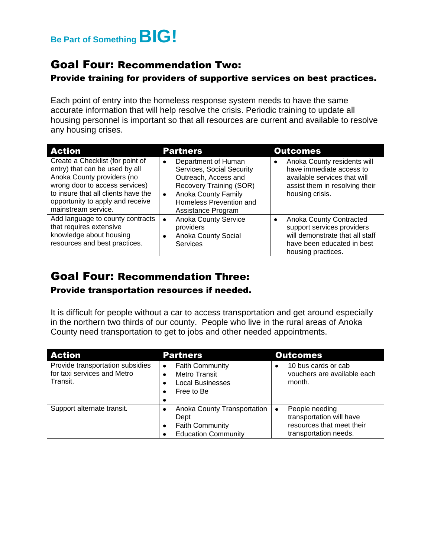

#### Goal Four: Recommendation Two:

#### Provide training for providers of supportive services on best practices.

Each point of entry into the homeless response system needs to have the same accurate information that will help resolve the crisis. Periodic training to update all housing personnel is important so that all resources are current and available to resolve any housing crises.

| <b>Action</b>                                                                                                                                                                                                                        | <b>Partners</b>                                                                                                                                                                                              | <b>Outcomes</b>                                                                                                                                           |
|--------------------------------------------------------------------------------------------------------------------------------------------------------------------------------------------------------------------------------------|--------------------------------------------------------------------------------------------------------------------------------------------------------------------------------------------------------------|-----------------------------------------------------------------------------------------------------------------------------------------------------------|
| Create a Checklist (for point of<br>entry) that can be used by all<br>Anoka County providers (no<br>wrong door to access services)<br>to insure that all clients have the<br>opportunity to apply and receive<br>mainstream service. | Department of Human<br>$\bullet$<br>Services, Social Security<br>Outreach, Access and<br>Recovery Training (SOR)<br><b>Anoka County Family</b><br>$\bullet$<br>Homeless Prevention and<br>Assistance Program | Anoka County residents will<br>$\bullet$<br>have immediate access to<br>available services that will<br>assist them in resolving their<br>housing crisis. |
| Add language to county contracts<br>that requires extensive<br>knowledge about housing<br>resources and best practices.                                                                                                              | <b>Anoka County Service</b><br>providers<br>Anoka County Social<br>$\bullet$<br>Services                                                                                                                     | Anoka County Contracted<br>support services providers<br>will demonstrate that all staff<br>have been educated in best<br>housing practices.              |

### Goal Four: Recommendation Three:

#### Provide transportation resources if needed.

It is difficult for people without a car to access transportation and get around especially in the northern two thirds of our county. People who live in the rural areas of Anoka County need transportation to get to jobs and other needed appointments.

| <b>Action</b>                                                               | <b>Partners</b>                                                                                      | <b>Outcomes</b>                                                                                  |
|-----------------------------------------------------------------------------|------------------------------------------------------------------------------------------------------|--------------------------------------------------------------------------------------------------|
| Provide transportation subsidies<br>for taxi services and Metro<br>Transit. | <b>Faith Community</b><br>$\bullet$<br><b>Metro Transit</b><br><b>Local Businesses</b><br>Free to Be | 10 bus cards or cab<br>vouchers are available each<br>month.                                     |
| Support alternate transit.                                                  | Anoka County Transportation<br>Dept<br><b>Faith Community</b><br><b>Education Community</b>          | People needing<br>transportation will have<br>resources that meet their<br>transportation needs. |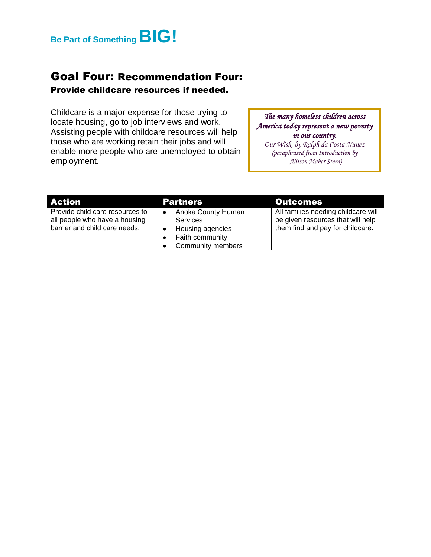

## Goal Four: Recommendation Four:

#### Provide childcare resources if needed.

Childcare is a major expense for those trying to locate housing, go to job interviews and work. Assisting people with childcare resources will help those who are working retain their jobs and will enable more people who are unemployed to obtain employment.

*The many homeless children across America today represent a new poverty in our country.* 

*Our Wish, by Ralph da Costa Nunez (paraphrased from Introduction by Allison Maher Stern)*

| <b>Action</b>                                                                                     | <b>Partners</b>                                                                                          | Outcomes                                                                                                     |
|---------------------------------------------------------------------------------------------------|----------------------------------------------------------------------------------------------------------|--------------------------------------------------------------------------------------------------------------|
| Provide child care resources to<br>all people who have a housing<br>barrier and child care needs. | Anoka County Human<br><b>Services</b><br>Housing agencies<br>Faith community<br><b>Community members</b> | All families needing childcare will<br>be given resources that will help<br>them find and pay for childcare. |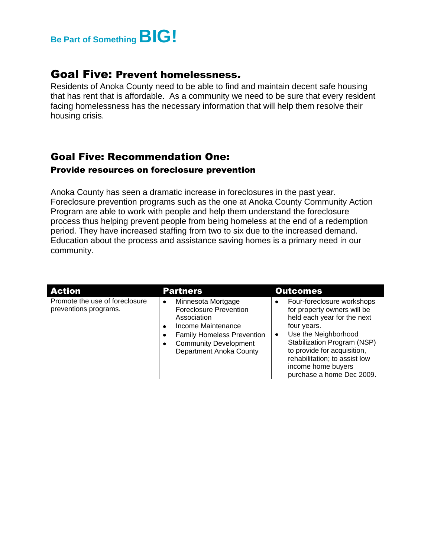

#### Goal Five: Prevent homelessness.

Residents of Anoka County need to be able to find and maintain decent safe housing that has rent that is affordable. As a community we need to be sure that every resident facing homelessness has the necessary information that will help them resolve their housing crisis.

#### Goal Five: Recommendation One: Provide resources on foreclosure prevention

Anoka County has seen a dramatic increase in foreclosures in the past year. Foreclosure prevention programs such as the one at Anoka County Community Action Program are able to work with people and help them understand the foreclosure process thus helping prevent people from being homeless at the end of a redemption period. They have increased staffing from two to six due to the increased demand. Education about the process and assistance saving homes is a primary need in our community.

| <b>Action</b>                                           | <b>Partners</b>                                                                                                                                                                                                           | <b>Outcomes</b>                                                                                                                                                                                                                                                                   |
|---------------------------------------------------------|---------------------------------------------------------------------------------------------------------------------------------------------------------------------------------------------------------------------------|-----------------------------------------------------------------------------------------------------------------------------------------------------------------------------------------------------------------------------------------------------------------------------------|
| Promote the use of foreclosure<br>preventions programs. | Minnesota Mortgage<br>$\bullet$<br><b>Foreclosure Prevention</b><br>Association<br>Income Maintenance<br>$\bullet$<br><b>Family Homeless Prevention</b><br><b>Community Development</b><br><b>Department Anoka County</b> | Four-foreclosure workshops<br>for property owners will be<br>held each year for the next<br>four years.<br>Use the Neighborhood<br>Stabilization Program (NSP)<br>to provide for acquisition,<br>rehabilitation; to assist low<br>income home buyers<br>purchase a home Dec 2009. |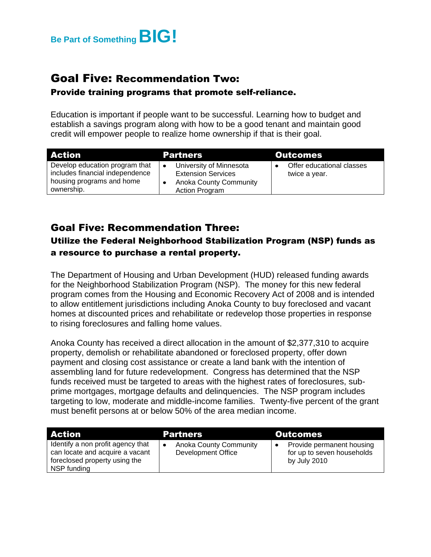

#### Goal Five: Recommendation Two:

#### Provide training programs that promote self-reliance.

Education is important if people want to be successful. Learning how to budget and establish a savings program along with how to be a good tenant and maintain good credit will empower people to realize home ownership if that is their goal.

| <b>Action</b>                                                                                                | <b>Partners</b>                                                                                         | <b>Outcomes</b>                            |
|--------------------------------------------------------------------------------------------------------------|---------------------------------------------------------------------------------------------------------|--------------------------------------------|
| Develop education program that<br>includes financial independence<br>housing programs and home<br>ownership. | University of Minnesota<br><b>Extension Services</b><br><b>Anoka County Community</b><br>Action Program | Offer educational classes<br>twice a year. |

#### Goal Five: Recommendation Three: Utilize the Federal Neighborhood Stabilization Program (NSP) funds as a resource to purchase a rental property.

The Department of Housing and Urban Development (HUD) released funding awards for the Neighborhood Stabilization Program (NSP). The money for this new federal program comes from the Housing and Economic Recovery Act of 2008 and is intended to allow entitlement jurisdictions including Anoka County to buy foreclosed and vacant homes at discounted prices and rehabilitate or redevelop those properties in response to rising foreclosures and falling home values.

Anoka County has received a direct allocation in the amount of \$2,377,310 to acquire property, demolish or rehabilitate abandoned or foreclosed property, offer down payment and closing cost assistance or create a land bank with the intention of assembling land for future redevelopment. Congress has determined that the NSP funds received must be targeted to areas with the highest rates of foreclosures, subprime mortgages, mortgage defaults and delinquencies. The NSP program includes targeting to low, moderate and middle-income families. Twenty-five percent of the grant must benefit persons at or below 50% of the area median income.

| <b>Action</b>                                                                                                        | <b>Partners</b>                                     | <b>Outcomes</b>                                                         |
|----------------------------------------------------------------------------------------------------------------------|-----------------------------------------------------|-------------------------------------------------------------------------|
| Identify a non profit agency that<br>can locate and acquire a vacant<br>foreclosed property using the<br>NSP funding | <b>Anoka County Community</b><br>Development Office | Provide permanent housing<br>for up to seven households<br>by July 2010 |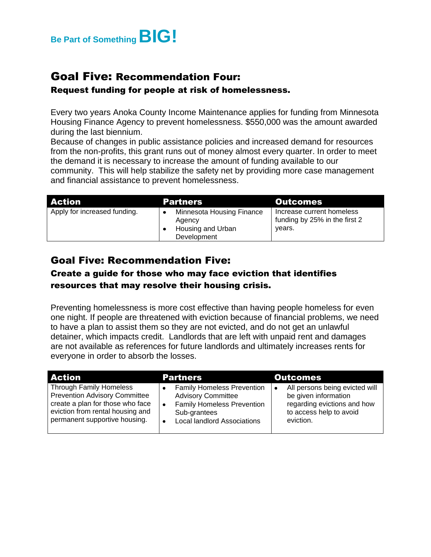

## Goal Five: Recommendation Four:

#### Request funding for people at risk of homelessness.

Every two years Anoka County Income Maintenance applies for funding from Minnesota Housing Finance Agency to prevent homelessness. \$550,000 was the amount awarded during the last biennium.

Because of changes in public assistance policies and increased demand for resources from the non-profits, this grant runs out of money almost every quarter. In order to meet the demand it is necessary to increase the amount of funding available to our community. This will help stabilize the safety net by providing more case management and financial assistance to prevent homelessness.

| <b>Action</b>                | <b>Partners</b>                                                         | <b>Outcomes</b>                                                      |
|------------------------------|-------------------------------------------------------------------------|----------------------------------------------------------------------|
| Apply for increased funding. | Minnesota Housing Finance<br>Agency<br>Housing and Urban<br>Development | Increase current homeless<br>funding by 25% in the first 2<br>years. |

#### Goal Five: Recommendation Five:

#### Create a guide for those who may face eviction that identifies resources that may resolve their housing crisis.

Preventing homelessness is more cost effective than having people homeless for even one night. If people are threatened with eviction because of financial problems, we need to have a plan to assist them so they are not evicted, and do not get an unlawful detainer, which impacts credit. Landlords that are left with unpaid rent and damages are not available as references for future landlords and ultimately increases rents for everyone in order to absorb the losses.

| <b>Action</b>                                                                                                                                                                   | <b>Partners</b>                                                                                                                                           | <b>Outcomes</b>                                                                                                                            |
|---------------------------------------------------------------------------------------------------------------------------------------------------------------------------------|-----------------------------------------------------------------------------------------------------------------------------------------------------------|--------------------------------------------------------------------------------------------------------------------------------------------|
| <b>Through Family Homeless</b><br><b>Prevention Advisory Committee</b><br>create a plan for those who face<br>eviction from rental housing and<br>permanent supportive housing. | <b>Family Homeless Prevention</b><br><b>Advisory Committee</b><br><b>Family Homeless Prevention</b><br>Sub-grantees<br><b>Local landlord Associations</b> | All persons being evicted will<br>$\bullet$<br>be given information<br>regarding evictions and how<br>to access help to avoid<br>eviction. |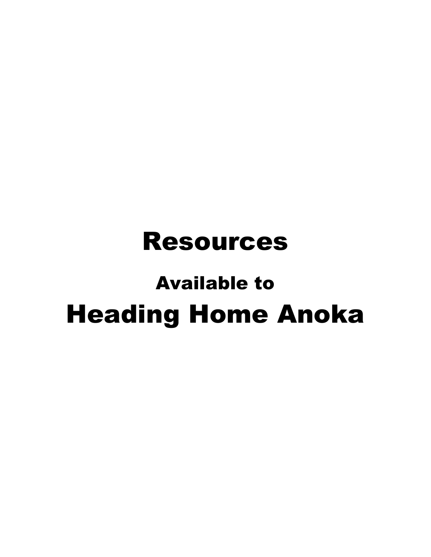# Resources

# Available to Heading Home Anoka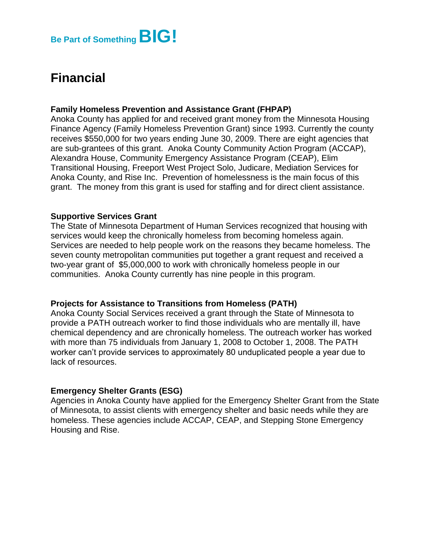## **Financial**

#### **Family Homeless Prevention and Assistance Grant (FHPAP)**

Anoka County has applied for and received grant money from the Minnesota Housing Finance Agency (Family Homeless Prevention Grant) since 1993. Currently the county receives \$550,000 for two years ending June 30, 2009. There are eight agencies that are sub-grantees of this grant. Anoka County Community Action Program (ACCAP), Alexandra House, Community Emergency Assistance Program (CEAP), Elim Transitional Housing, Freeport West Project Solo, Judicare, Mediation Services for Anoka County, and Rise Inc. Prevention of homelessness is the main focus of this grant. The money from this grant is used for staffing and for direct client assistance.

#### **Supportive Services Grant**

The State of Minnesota Department of Human Services recognized that housing with services would keep the chronically homeless from becoming homeless again. Services are needed to help people work on the reasons they became homeless. The seven county metropolitan communities put together a grant request and received a two-year grant of \$5,000,000 to work with chronically homeless people in our communities. Anoka County currently has nine people in this program.

#### **Projects for Assistance to Transitions from Homeless (PATH)**

Anoka County Social Services received a grant through the State of Minnesota to provide a PATH outreach worker to find those individuals who are mentally ill, have chemical dependency and are chronically homeless. The outreach worker has worked with more than 75 individuals from January 1, 2008 to October 1, 2008. The PATH worker can't provide services to approximately 80 unduplicated people a year due to lack of resources.

#### **Emergency Shelter Grants (ESG)**

Agencies in Anoka County have applied for the Emergency Shelter Grant from the State of Minnesota, to assist clients with emergency shelter and basic needs while they are homeless. These agencies include ACCAP, CEAP, and Stepping Stone Emergency Housing and Rise.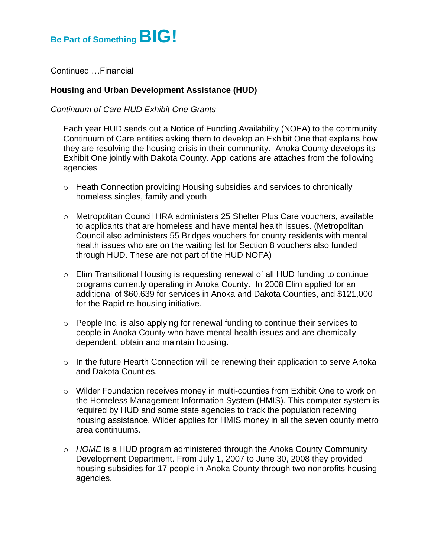

Continued …Financial

#### **Housing and Urban Development Assistance (HUD)**

#### *Continuum of Care HUD Exhibit One Grants*

Each year HUD sends out a Notice of Funding Availability (NOFA) to the community Continuum of Care entities asking them to develop an Exhibit One that explains how they are resolving the housing crisis in their community. Anoka County develops its Exhibit One jointly with Dakota County. Applications are attaches from the following agencies

- o Heath Connection providing Housing subsidies and services to chronically homeless singles, family and youth
- o Metropolitan Council HRA administers 25 Shelter Plus Care vouchers, available to applicants that are homeless and have mental health issues. (Metropolitan Council also administers 55 Bridges vouchers for county residents with mental health issues who are on the waiting list for Section 8 vouchers also funded through HUD. These are not part of the HUD NOFA)
- o Elim Transitional Housing is requesting renewal of all HUD funding to continue programs currently operating in Anoka County. In 2008 Elim applied for an additional of \$60,639 for services in Anoka and Dakota Counties, and \$121,000 for the Rapid re-housing initiative.
- $\circ$  People Inc. is also applying for renewal funding to continue their services to people in Anoka County who have mental health issues and are chemically dependent, obtain and maintain housing.
- $\circ$  In the future Hearth Connection will be renewing their application to serve Anoka and Dakota Counties.
- o Wilder Foundation receives money in multi-counties from Exhibit One to work on the Homeless Management Information System (HMIS). This computer system is required by HUD and some state agencies to track the population receiving housing assistance. Wilder applies for HMIS money in all the seven county metro area continuums.
- o *HOME* is a HUD program administered through the Anoka County Community Development Department. From July 1, 2007 to June 30, 2008 they provided housing subsidies for 17 people in Anoka County through two nonprofits housing agencies.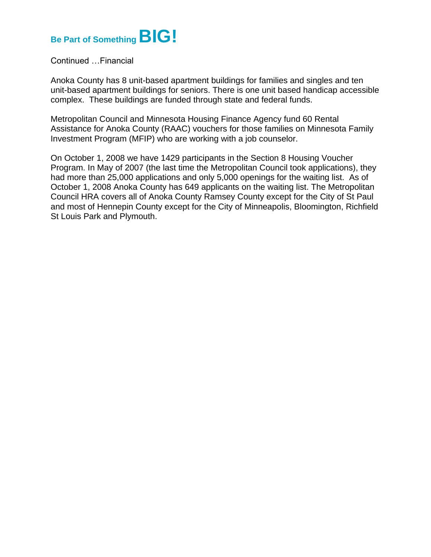# **Be Part of SomethingBIG!**

Continued …Financial

Anoka County has 8 unit-based apartment buildings for families and singles and ten unit-based apartment buildings for seniors. There is one unit based handicap accessible complex. These buildings are funded through state and federal funds.

Metropolitan Council and Minnesota Housing Finance Agency fund 60 Rental Assistance for Anoka County (RAAC) vouchers for those families on Minnesota Family Investment Program (MFIP) who are working with a job counselor.

On October 1, 2008 we have 1429 participants in the Section 8 Housing Voucher Program. In May of 2007 (the last time the Metropolitan Council took applications), they had more than 25,000 applications and only 5,000 openings for the waiting list. As of October 1, 2008 Anoka County has 649 applicants on the waiting list. The Metropolitan Council HRA covers all of Anoka County Ramsey County except for the City of St Paul and most of Hennepin County except for the City of Minneapolis, Bloomington, Richfield St Louis Park and Plymouth.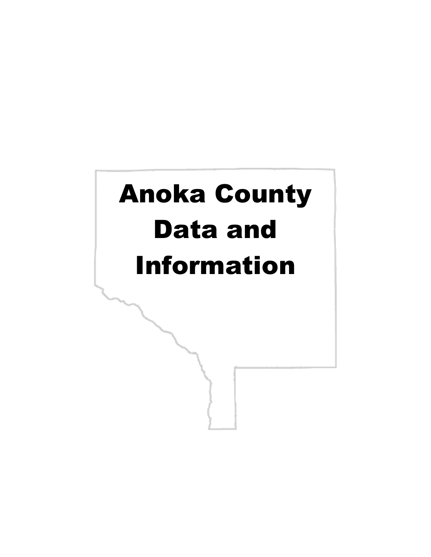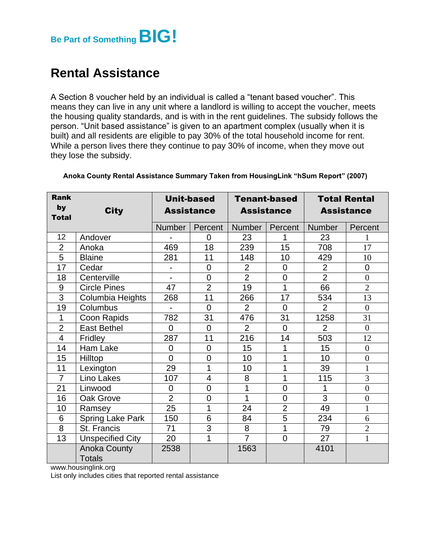

## **Rental Assistance**

A Section 8 voucher held by an individual is called a "tenant based voucher". This means they can live in any unit where a landlord is willing to accept the voucher, meets the housing quality standards, and is with in the rent guidelines. The subsidy follows the person. "Unit based assistance" is given to an apartment complex (usually when it is built) and all residents are eligible to pay 30% of the total household income for rent. While a person lives there they continue to pay 30% of income, when they move out they lose the subsidy.

| <b>Rank</b>             |                                      | <b>Unit-based</b>        |                |                   | <b>Tenant-based</b> |                   | <b>Total Rental</b> |  |
|-------------------------|--------------------------------------|--------------------------|----------------|-------------------|---------------------|-------------------|---------------------|--|
| by<br><b>Total</b>      | <b>City</b>                          | <b>Assistance</b>        |                | <b>Assistance</b> |                     | <b>Assistance</b> |                     |  |
|                         |                                      | <b>Number</b>            | Percent        | Number            | Percent             | <b>Number</b>     | Percent             |  |
| 12                      | Andover                              |                          | 0              | 23                | 1                   | 23                | $\mathbf{1}$        |  |
| $\overline{2}$          | Anoka                                | 469                      | 18             | 239               | 15                  | 708               | 17                  |  |
| 5                       | <b>Blaine</b>                        | 281                      | 11             | 148               | 10                  | 429               | 10                  |  |
| 17                      | Cedar                                | -                        | $\overline{0}$ | $\overline{2}$    | $\mathbf 0$         | $\overline{2}$    | $\mathbf 0$         |  |
| 18                      | Centerville                          |                          | $\overline{0}$ | $\overline{2}$    | $\mathbf 0$         | $\overline{2}$    | $\boldsymbol{0}$    |  |
| 9                       | <b>Circle Pines</b>                  | 47                       | $\overline{2}$ | $\overline{19}$   | $\overline{1}$      | 66                | $\overline{2}$      |  |
| $\overline{3}$          | Columbia Heights                     | 268                      | 11             | 266               | 17                  | 534               | 13                  |  |
| 19                      | Columbus                             | $\overline{\phantom{0}}$ | $\overline{0}$ | $\overline{2}$    | $\overline{0}$      | $\overline{2}$    | $\overline{0}$      |  |
| 1                       | Coon Rapids                          | 782                      | 31             | 476               | 31                  | 1258              | 31                  |  |
| $\overline{2}$          | <b>East Bethel</b>                   | $\overline{0}$           | $\overline{0}$ | $\overline{2}$    | $\overline{0}$      | $\overline{2}$    | $\boldsymbol{0}$    |  |
| $\overline{\mathbf{4}}$ | Fridley                              | 287                      | 11             | 216               | 14                  | 503               | 12                  |  |
| 14                      | Ham Lake                             | $\overline{0}$           | $\overline{0}$ | 15                | 1                   | 15                | $\overline{0}$      |  |
| 15                      | Hilltop                              | $\overline{0}$           | $\overline{0}$ | 10                | 1                   | 10                | $\boldsymbol{0}$    |  |
| 11                      | Lexington                            | 29                       | 1              | 10                | 1                   | 39                | $\mathbf{1}$        |  |
| $\overline{7}$          | Lino Lakes                           | 107                      | $\overline{4}$ | 8                 | 1                   | 115               | 3                   |  |
| 21                      | Linwood                              | $\overline{0}$           | $\overline{0}$ | 1                 | $\overline{0}$      | 1                 | $\boldsymbol{0}$    |  |
| 16                      | Oak Grove                            | $\overline{2}$           | $\overline{0}$ | 1                 | $\mathbf 0$         | 3                 | $\boldsymbol{0}$    |  |
| 10                      | Ramsey                               | 25                       | 1              | 24                | $\overline{2}$      | 49                | $\mathbf{1}$        |  |
| 6                       | <b>Spring Lake Park</b>              | 150                      | 6              | 84                | 5                   | 234               | 6                   |  |
| 8                       | St. Francis                          | 71                       | 3              | 8                 | 1                   | 79                | $\overline{2}$      |  |
| 13                      | Unspecified City                     | 20                       | 1              | $\overline{7}$    | $\overline{0}$      | 27                | $\overline{1}$      |  |
|                         | <b>Anoka County</b><br><b>Totals</b> | 2538                     |                | 1563              |                     | 4101              |                     |  |

#### **Anoka County Rental Assistance Summary Taken from HousingLink "hSum Report" (2007)**

www.housinglink.org

List only includes cities that reported rental assistance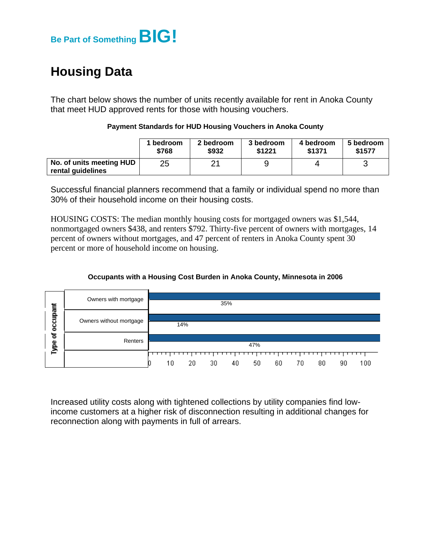

## **Housing Data**

The chart below shows the number of units recently available for rent in Anoka County that meet HUD approved rents for those with housing vouchers.

|                                               | 1 bedroom | 2 bedroom | 3 bedroom | 4 bedroom | 5 bedroom |
|-----------------------------------------------|-----------|-----------|-----------|-----------|-----------|
|                                               | \$768     | \$932     | \$1221    | \$1371    | \$1577    |
| No. of units meeting HUD<br>rental guidelines | 25        | ′         |           |           |           |

#### **Payment Standards for HUD Housing Vouchers in Anoka County**

Successful financial planners recommend that a family or individual spend no more than 30% of their household income on their housing costs.

HOUSING COSTS: The median monthly housing costs for mortgaged owners was \$1,544, nonmortgaged owners \$438, and renters \$792. Thirty-five percent of owners with mortgages, 14 percent of owners without mortgages, and 47 percent of renters in Anoka County spent 30 percent or more of household income on housing.

#### **Occupants with a Housing Cost Burden in Anoka County, Minnesota in 2006**



Increased utility costs along with tightened collections by utility companies find lowincome customers at a higher risk of disconnection resulting in additional changes for reconnection along with payments in full of arrears.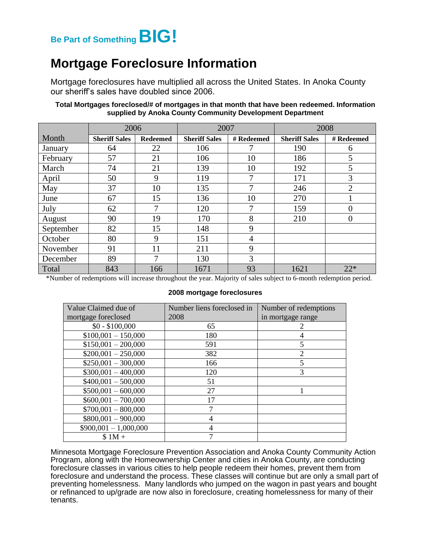# **Be Part of SomethingBIG!**

## **Mortgage Foreclosure Information**

Mortgage foreclosures have multiplied all across the United States. In Anoka County our sheriff's sales have doubled since 2006.

#### **Total Mortgages foreclosed/# of mortgages in that month that have been redeemed. Information supplied by Anoka County Community Development Department**

|           | 2006                 |                 | 2007                 |            |                      | 2008           |
|-----------|----------------------|-----------------|----------------------|------------|----------------------|----------------|
| Month     | <b>Sheriff Sales</b> | <b>Redeemed</b> | <b>Sheriff Sales</b> | # Redeemed | <b>Sheriff Sales</b> | # Redeemed     |
| January   | 64                   | 22              | 106                  | 7          | 190                  | 6              |
| February  | 57                   | 21              | 106                  | 10         | 186                  | 5              |
| March     | 74                   | 21              | 139                  | 10         | 192                  | 5              |
| April     | 50                   | 9               | 119                  | 7          | 171                  | 3              |
| May       | 37                   | 10              | 135                  | 7          | 246                  | $\overline{2}$ |
| June      | 67                   | 15              | 136                  | 10         | 270                  |                |
| July      | 62                   | $\tau$          | 120                  | 7          | 159                  | 0              |
| August    | 90                   | 19              | 170                  | 8          | 210                  | 0              |
| September | 82                   | 15              | 148                  | 9          |                      |                |
| October   | 80                   | 9               | 151                  | 4          |                      |                |
| November  | 91                   | 11              | 211                  | 9          |                      |                |
| December  | 89                   | 7               | 130                  | 3          |                      |                |
| Total     | 843                  | 166             | 1671                 | 93         | 1621                 | $22*$          |

\*Number of redemptions will increase throughout the year. Majority of sales subject to 6-month redemption period.

#### **2008 mortgage foreclosures**

| Value Claimed due of   | Number liens foreclosed in | Number of redemptions    |
|------------------------|----------------------------|--------------------------|
| mortgage foreclosed    | 2008                       | in mortgage range        |
| $$0 - $100,000$        | 65                         |                          |
| $$100,001 - 150,000$   | 180                        |                          |
| $$150,001 - 200,000$   | 591                        | 5                        |
| $$200,001 - 250,000$   | 382                        | $\overline{c}$           |
| $$250,001 - 300,000$   | 166                        | $\overline{\phantom{0}}$ |
| $$300,001 - 400,000$   | 120                        | 3                        |
| $$400,001 - 500,000$   | 51                         |                          |
| $$500,001 - 600,000$   | 27                         |                          |
| $$600,001 - 700,000$   | 17                         |                          |
| $$700,001 - 800,000$   |                            |                          |
| $$800,001 - 900,000$   | $\overline{4}$             |                          |
| $$900,001 - 1,000,000$ | $\overline{4}$             |                          |
| $$1M +$                |                            |                          |

Minnesota Mortgage Foreclosure Prevention Association and Anoka County Community Action Program, along with the Homeownership Center and cities in Anoka County, are conducting foreclosure classes in various cities to help people redeem their homes, prevent them from foreclosure and understand the process. These classes will continue but are only a small part of preventing homelessness. Many landlords who jumped on the wagon in past years and bought or refinanced to up/grade are now also in foreclosure, creating homelessness for many of their tenants.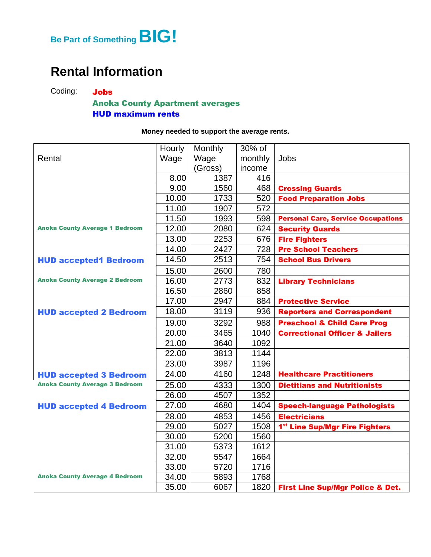

## **Rental Information**

Coding: Jobs

#### Anoka County Apartment averages HUD maximum rents

#### **Money needed to support the average rents.**

|                                       | Hourly | Monthly | 30% of  |                                             |
|---------------------------------------|--------|---------|---------|---------------------------------------------|
| Rental                                | Wage   | Wage    | monthly | Jobs                                        |
|                                       |        | (Gross) | income  |                                             |
|                                       | 8.00   | 1387    | 416     |                                             |
|                                       | 9.00   | 1560    | 468     | <b>Crossing Guards</b>                      |
|                                       | 10.00  | 1733    | 520     | <b>Food Preparation Jobs</b>                |
|                                       | 11.00  | 1907    | 572     |                                             |
|                                       | 11.50  | 1993    | 598     | <b>Personal Care, Service Occupations</b>   |
| <b>Anoka County Average 1 Bedroom</b> | 12.00  | 2080    | 624     | <b>Security Guards</b>                      |
|                                       | 13.00  | 2253    | 676     | <b>Fire Fighters</b>                        |
|                                       | 14.00  | 2427    | 728     | <b>Pre School Teachers</b>                  |
| <b>HUD accepted1 Bedroom</b>          | 14.50  | 2513    | 754     | <b>School Bus Drivers</b>                   |
|                                       | 15.00  | 2600    | 780     |                                             |
| <b>Anoka County Average 2 Bedroom</b> | 16.00  | 2773    | 832     | <b>Library Technicians</b>                  |
|                                       | 16.50  | 2860    | 858     |                                             |
|                                       | 17.00  | 2947    | 884     | <b>Protective Service</b>                   |
| <b>HUD accepted 2 Bedroom</b>         | 18.00  | 3119    | 936     | <b>Reporters and Correspondent</b>          |
|                                       | 19.00  | 3292    | 988     | <b>Preschool &amp; Child Care Prog</b>      |
|                                       | 20.00  | 3465    | 1040    | <b>Correctional Officer &amp; Jailers</b>   |
|                                       | 21.00  | 3640    | 1092    |                                             |
|                                       | 22.00  | 3813    | 1144    |                                             |
|                                       | 23.00  | 3987    | 1196    |                                             |
| <b>HUD accepted 3 Bedroom</b>         | 24.00  | 4160    | 1248    | <b>Healthcare Practitioners</b>             |
| <b>Anoka County Average 3 Bedroom</b> | 25.00  | 4333    | 1300    | <b>Dietitians and Nutritionists</b>         |
|                                       | 26.00  | 4507    | 1352    |                                             |
| <b>HUD accepted 4 Bedroom</b>         | 27.00  | 4680    | 1404    | <b>Speech-language Pathologists</b>         |
|                                       | 28.00  | 4853    | 1456    | <b>Electricians</b>                         |
|                                       | 29.00  | 5027    | 1508    | 1 <sup>st</sup> Line Sup/Mgr Fire Fighters  |
|                                       | 30.00  | 5200    | 1560    |                                             |
|                                       | 31.00  | 5373    | 1612    |                                             |
|                                       | 32.00  | 5547    | 1664    |                                             |
|                                       | 33.00  | 5720    | 1716    |                                             |
| <b>Anoka County Average 4 Bedroom</b> | 34.00  | 5893    | 1768    |                                             |
|                                       | 35.00  | 6067    | 1820    | <b>First Line Sup/Mgr Police &amp; Det.</b> |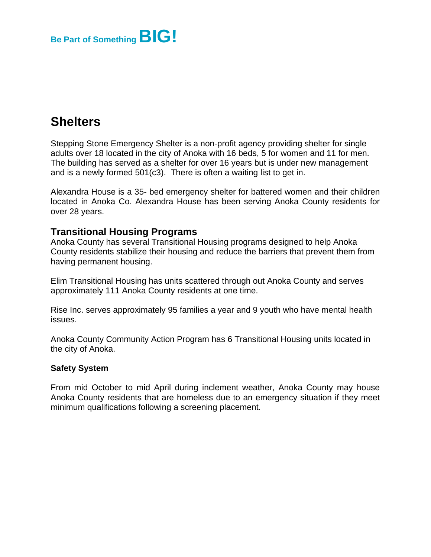

## **Shelters**

Stepping Stone Emergency Shelter is a non-profit agency providing shelter for single adults over 18 located in the city of Anoka with 16 beds, 5 for women and 11 for men. The building has served as a shelter for over 16 years but is under new management and is a newly formed 501(c3). There is often a waiting list to get in.

Alexandra House is a 35- bed emergency shelter for battered women and their children located in Anoka Co. Alexandra House has been serving Anoka County residents for over 28 years.

#### **Transitional Housing Programs**

Anoka County has several Transitional Housing programs designed to help Anoka County residents stabilize their housing and reduce the barriers that prevent them from having permanent housing.

Elim Transitional Housing has units scattered through out Anoka County and serves approximately 111 Anoka County residents at one time.

Rise Inc. serves approximately 95 families a year and 9 youth who have mental health issues.

Anoka County Community Action Program has 6 Transitional Housing units located in the city of Anoka.

#### **Safety System**

From mid October to mid April during inclement weather, Anoka County may house Anoka County residents that are homeless due to an emergency situation if they meet minimum qualifications following a screening placement.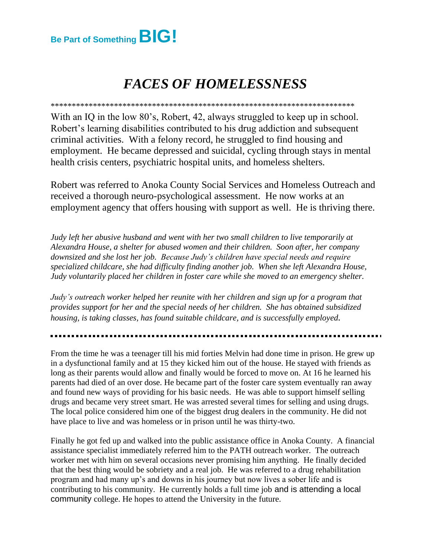

## *FACES OF HOMELESSNESS*

\*\*\*\*\*\*\*\*\*\*\*\*\*\*\*\*\*\*\*\*\*\*\*\*\*\*\*\*\*\*\*\*\*\*\*\*\*\*\*\*\*\*\*\*\*\*\*\*\*\*\*\*\*\*\*\*\*\*\*\*\*\*\*\*\*\*\*\*\*\*\*\* With an IQ in the low 80's, Robert, 42, always struggled to keep up in school. Robert's learning disabilities contributed to his drug addiction and subsequent criminal activities. With a felony record, he struggled to find housing and employment. He became depressed and suicidal, cycling through stays in mental health crisis centers, psychiatric hospital units, and homeless shelters*.*

Robert was referred to Anoka County Social Services and Homeless Outreach and received a thorough neuro-psychological assessment. He now works at an employment agency that offers housing with support as well. He is thriving there.

*Judy left her abusive husband and went with her two small children to live temporarily at Alexandra House, a shelter for abused women and their children. Soon after, her company downsized and she lost her job. Because Judy's children have special needs and require specialized childcare, she had difficulty finding another job. When she left Alexandra House, Judy voluntarily placed her children in foster care while she moved to an emergency shelter.*

*Judy's outreach worker helped her reunite with her children and sign up for a program that provides support for her and the special needs of her children. She has obtained subsidized housing, is taking classes, has found suitable childcare, and is successfully employed.*

From the time he was a teenager till his mid forties Melvin had done time in prison. He grew up in a dysfunctional family and at 15 they kicked him out of the house. He stayed with friends as long as their parents would allow and finally would be forced to move on. At 16 he learned his parents had died of an over dose. He became part of the foster care system eventually ran away and found new ways of providing for his basic needs. He was able to support himself selling drugs and became very street smart. He was arrested several times for selling and using drugs. The local police considered him one of the biggest drug dealers in the community. He did not have place to live and was homeless or in prison until he was thirty-two.

Finally he got fed up and walked into the public assistance office in Anoka County. A financial assistance specialist immediately referred him to the PATH outreach worker. The outreach worker met with him on several occasions never promising him anything. He finally decided that the best thing would be sobriety and a real job. He was referred to a drug rehabilitation program and had many up's and downs in his journey but now lives a sober life and is contributing to his community. He currently holds a full time job and is attending a local community college. He hopes to attend the University in the future.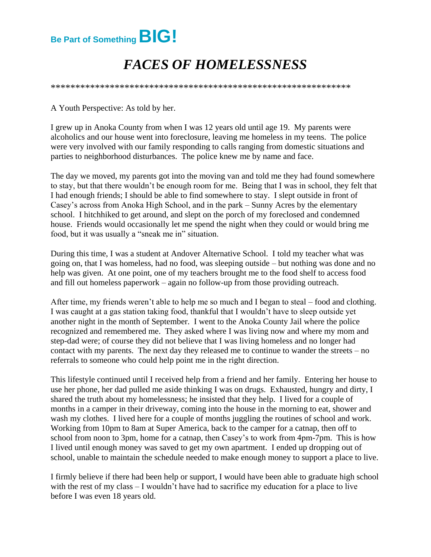

## *FACES OF HOMELESSNESS*

\*\*\*\*\*\*\*\*\*\*\*\*\*\*\*\*\*\*\*\*\*\*\*\*\*\*\*\*\*\*\*\*\*\*\*\*\*\*\*\*\*\*\*\*\*\*\*\*\*\*\*\*\*\*\*\*\*\*\*\*\*

A Youth Perspective: As told by her.

I grew up in Anoka County from when I was 12 years old until age 19. My parents were alcoholics and our house went into foreclosure, leaving me homeless in my teens. The police were very involved with our family responding to calls ranging from domestic situations and parties to neighborhood disturbances. The police knew me by name and face.

The day we moved, my parents got into the moving van and told me they had found somewhere to stay, but that there wouldn't be enough room for me. Being that I was in school, they felt that I had enough friends; I should be able to find somewhere to stay. I slept outside in front of Casey's across from Anoka High School, and in the park – Sunny Acres by the elementary school. I hitchhiked to get around, and slept on the porch of my foreclosed and condemned house. Friends would occasionally let me spend the night when they could or would bring me food, but it was usually a "sneak me in" situation.

During this time, I was a student at Andover Alternative School. I told my teacher what was going on, that I was homeless, had no food, was sleeping outside – but nothing was done and no help was given. At one point, one of my teachers brought me to the food shelf to access food and fill out homeless paperwork – again no follow-up from those providing outreach.

After time, my friends weren't able to help me so much and I began to steal – food and clothing. I was caught at a gas station taking food, thankful that I wouldn't have to sleep outside yet another night in the month of September. I went to the Anoka County Jail where the police recognized and remembered me. They asked where I was living now and where my mom and step-dad were; of course they did not believe that I was living homeless and no longer had contact with my parents. The next day they released me to continue to wander the streets – no referrals to someone who could help point me in the right direction.

This lifestyle continued until I received help from a friend and her family. Entering her house to use her phone, her dad pulled me aside thinking I was on drugs. Exhausted, hungry and dirty, I shared the truth about my homelessness; he insisted that they help. I lived for a couple of months in a camper in their driveway, coming into the house in the morning to eat, shower and wash my clothes. I lived here for a couple of months juggling the routines of school and work. Working from 10pm to 8am at Super America, back to the camper for a catnap, then off to school from noon to 3pm, home for a catnap, then Casey's to work from 4pm-7pm. This is how I lived until enough money was saved to get my own apartment. I ended up dropping out of school, unable to maintain the schedule needed to make enough money to support a place to live.

I firmly believe if there had been help or support, I would have been able to graduate high school with the rest of my class – I wouldn't have had to sacrifice my education for a place to live before I was even 18 years old.